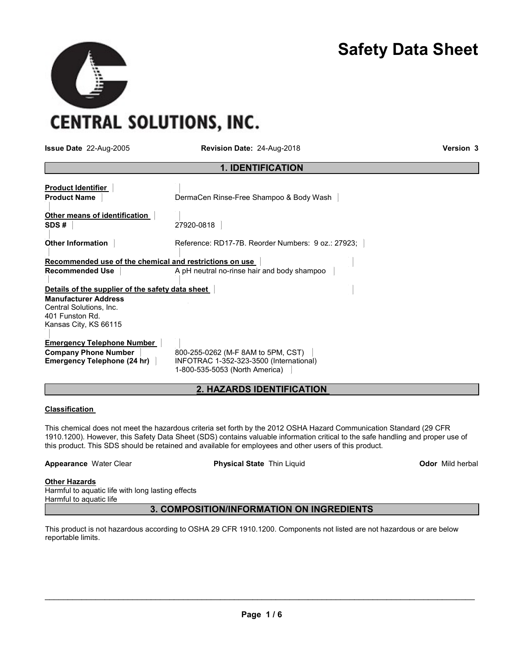

**CENTRAL SOLUTIONS, INC.** 

Issue Date 22-Aug-2005 Revision Date: 24-Aug-2018 Version 3

|                                                                                                    | <b>1. IDENTIFICATION</b>                                                                                        |
|----------------------------------------------------------------------------------------------------|-----------------------------------------------------------------------------------------------------------------|
| <b>Product Identifier</b><br><b>Product Name</b>                                                   | DermaCen Rinse-Free Shampoo & Body Wash                                                                         |
| Other means of identification<br>SDS#                                                              | 27920-0818                                                                                                      |
| <b>Other Information</b>                                                                           | Reference: RD17-7B. Reorder Numbers: 9 oz.: 27923;                                                              |
| Recommended use of the chemical and restrictions on use                                            |                                                                                                                 |
| <b>Recommended Use</b>                                                                             | A pH neutral no-rinse hair and body shampoo                                                                     |
| Details of the supplier of the safety data sheet                                                   |                                                                                                                 |
| <b>Manufacturer Address</b><br>Central Solutions, Inc.<br>401 Funston Rd.<br>Kansas City, KS 66115 |                                                                                                                 |
| <b>Emergency Telephone Number</b><br><b>Company Phone Number</b><br>Emergency Telephone (24 hr)    | 800-255-0262 (M-F 8AM to 5PM, CST)<br>INFOTRAC 1-352-323-3500 (International)<br>1-800-535-5053 (North America) |

# 2. HAZARDS IDENTIFICATION

#### Classification

This chemical does not meet the hazardous criteria set forth by the 2012 OSHA Hazard Communication Standard (29 CFR 1910.1200). However, this Safety Data Sheet (SDS) contains valuable information critical to the safe handling and proper use of this product. This SDS should be retained and available for employees and other users of this product.

| <b>Appearance</b> Water Clear                     | <b>Physical State Thin Liquid</b> | <b>Odor</b> Mild herbal |
|---------------------------------------------------|-----------------------------------|-------------------------|
| Other Hazards                                     |                                   |                         |
| Harmful to aquatic life with long lasting effects |                                   |                         |

Harmful to aquatic life

3. COMPOSITION/INFORMATION ON INGREDIENTS

This product is not hazardous according to OSHA 29 CFR 1910.1200. Components not listed are not hazardous or are below reportable limits.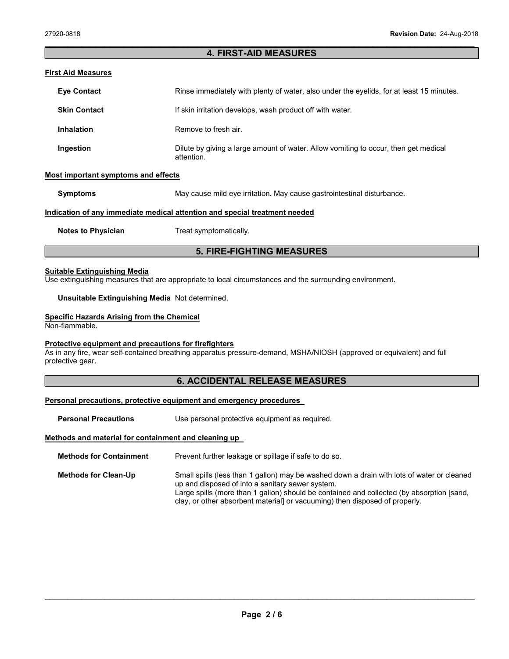## 4. FIRST-AID MEASURES

## First Aid Measures

| <b>Eve Contact</b>  | Rinse immediately with plenty of water, also under the eyelids, for at least 15 minutes.          |
|---------------------|---------------------------------------------------------------------------------------------------|
| <b>Skin Contact</b> | If skin irritation develops, wash product off with water.                                         |
| <b>Inhalation</b>   | Remove to fresh air.                                                                              |
| Ingestion           | Dilute by giving a large amount of water. Allow vomiting to occur, then get medical<br>attention. |

#### Most important symptoms and effects

Symptoms May cause mild eye irritation. May cause gastrointestinal disturbance.

#### Indication of any immediate medical attention and special treatment needed

Notes to Physician Treat symptomatically.

# 5. FIRE-FIGHTING MEASURES

#### Suitable Extinguishing Media

Use extinguishing measures that are appropriate to local circumstances and the surrounding environment.

Unsuitable Extinguishing Media Not determined.

#### Specific Hazards Arising from the Chemical

Non-flammable.

#### Protective equipment and precautions for firefighters

As in any fire, wear self-contained breathing apparatus pressure-demand, MSHA/NIOSH (approved or equivalent) and full protective gear.

## 6. ACCIDENTAL RELEASE MEASURES

### Personal precautions, protective equipment and emergency procedures

Personal Precautions Use personal protective equipment as required.

#### Methods and material for containment and cleaning up

Methods for Containment Prevent further leakage or spillage if safe to do so.

Methods for Clean-Up Small spills (less than 1 gallon) may be washed down a drain with lots of water or cleaned up and disposed of into a sanitary sewer system. Large spills (more than 1 gallon) should be contained and collected (by absorption [sand, clay, or other absorbent material] or vacuuming) then disposed of properly.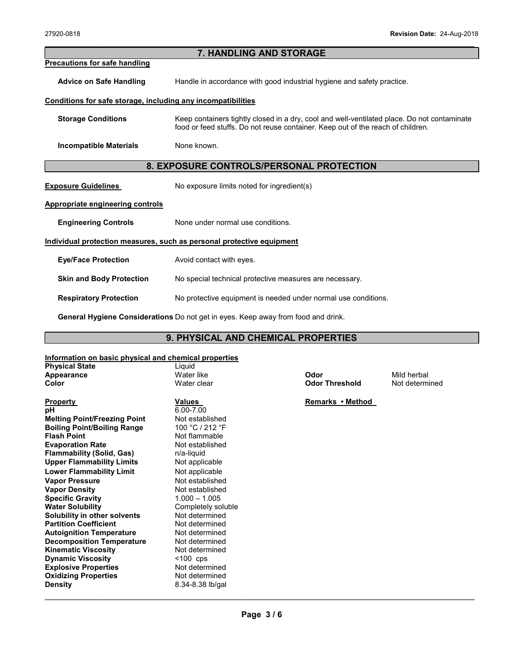## 7. HANDLING AND STORAGE

#### Precautions for safe handling

Advice on Safe Handling Handle in accordance with good industrial hygiene and safety practice.

#### Conditions for safe storage, including any incompatibilities

| <b>Storage Conditions</b> | Keep containers tightly closed in a dry, cool and well-ventilated place. Do not contaminate |
|---------------------------|---------------------------------------------------------------------------------------------|
|                           | food or feed stuffs. Do not reuse container. Keep out of the reach of children.             |

Incompatible Materials None known.

## 8. EXPOSURE CONTROLS/PERSONAL PROTECTION

**Exposure Guidelines** No exposure limits noted for ingredient(s)

### Appropriate engineering controls

| <b>Engineering Controls</b> | None under normal use conditions. |
|-----------------------------|-----------------------------------|
|-----------------------------|-----------------------------------|

#### Individual protection measures, such as personal protective equipment

| <b>Eye/Face Protection</b>      | Avoid contact with eyes.                                       |
|---------------------------------|----------------------------------------------------------------|
| <b>Skin and Body Protection</b> | No special technical protective measures are necessary.        |
| <b>Respiratory Protection</b>   | No protective equipment is needed under normal use conditions. |

General Hygiene Considerations Do not get in eyes. Keep away from food and drink.

## 9. PHYSICAL AND CHEMICAL PROPERTIES

## Information on basic physical and chemical properties

| mioniauon on basic privsical and chemical properties |                    |                       |                |
|------------------------------------------------------|--------------------|-----------------------|----------------|
| <b>Physical State</b>                                | Liquid             |                       |                |
| Appearance                                           | Water like         | Odor                  | Mild herbal    |
| Color                                                | Water clear        | <b>Odor Threshold</b> | Not determined |
|                                                      |                    |                       |                |
| <b>Property</b>                                      | Values             | Remarks • Method      |                |
| рH                                                   | 6.00-7.00          |                       |                |
| <b>Melting Point/Freezing Point</b>                  | Not established    |                       |                |
| <b>Boiling Point/Boiling Range</b>                   | 100 °C / 212 °F    |                       |                |
| <b>Flash Point</b>                                   | Not flammable      |                       |                |
| <b>Evaporation Rate</b>                              | Not established    |                       |                |
| <b>Flammability (Solid, Gas)</b>                     | n/a-liquid         |                       |                |
| <b>Upper Flammability Limits</b>                     | Not applicable     |                       |                |
| <b>Lower Flammability Limit</b>                      | Not applicable     |                       |                |
| <b>Vapor Pressure</b>                                | Not established    |                       |                |
| <b>Vapor Density</b>                                 | Not established    |                       |                |
| <b>Specific Gravity</b>                              | $1.000 - 1.005$    |                       |                |
| <b>Water Solubility</b>                              | Completely soluble |                       |                |
| Solubility in other solvents                         | Not determined     |                       |                |
| <b>Partition Coefficient</b>                         | Not determined     |                       |                |
| <b>Autoignition Temperature</b>                      | Not determined     |                       |                |
| <b>Decomposition Temperature</b>                     | Not determined     |                       |                |
| <b>Kinematic Viscosity</b>                           | Not determined     |                       |                |
| <b>Dynamic Viscosity</b>                             | $< 100$ cps        |                       |                |
| <b>Explosive Properties</b>                          | Not determined     |                       |                |
| <b>Oxidizing Properties</b>                          | Not determined     |                       |                |
| Density                                              | 8.34-8.38 lb/gal   |                       |                |
|                                                      |                    |                       |                |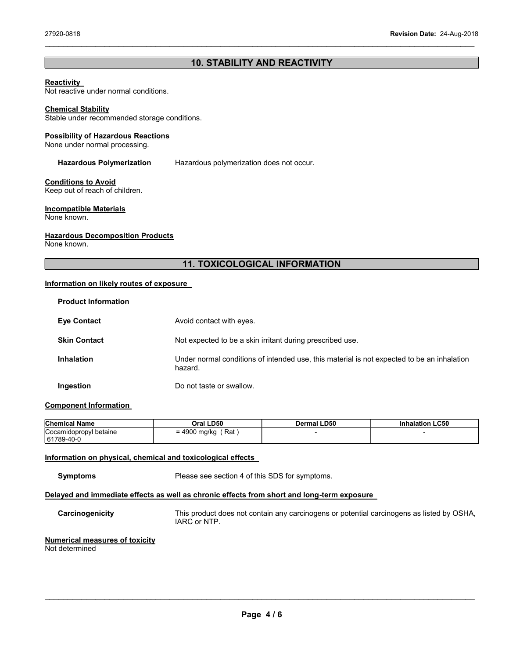# 10. STABILITY AND REACTIVITY

## **Reactivity**

Not reactive under normal conditions.

#### Chemical Stability

Stable under recommended storage conditions.

#### Possibility of Hazardous Reactions

None under normal processing.

Hazardous Polymerization Hazardous polymerization does not occur.

### Conditions to Avoid

Keep out of reach of children.

### Incompatible Materials

None known.

#### **Hazardous Decomposition Products**

None known.

# 11. TOXICOLOGICAL INFORMATION

### Information on likely routes of exposure

| <b>Product Information</b> |                                                                                                       |
|----------------------------|-------------------------------------------------------------------------------------------------------|
| <b>Eve Contact</b>         | Avoid contact with eyes.                                                                              |
| <b>Skin Contact</b>        | Not expected to be a skin irritant during prescribed use.                                             |
| <b>Inhalation</b>          | Under normal conditions of intended use, this material is not expected to be an inhalation<br>hazard. |
| Ingestion                  | Do not taste or swallow.                                                                              |

### Component Information

| <b>Chemical Name</b>   | Oral LD50            | <b>Dermal LD50</b> | <b>Inhalation LC50</b> |
|------------------------|----------------------|--------------------|------------------------|
| Cocamidopropyl betaine | = 4900 mg/kg<br>ˈRat |                    |                        |
| 61789-40-0             |                      |                    |                        |

## Information on physical, chemical and toxicological effects

Symptoms Please see section 4 of this SDS for symptoms.

#### Delayed and immediate effects as well as chronic effects from short and long-term exposure

Carcinogenicity This product does not contain any carcinogens or potential carcinogens as listed by OSHA, IARC or NTP.

# Numerical measures of toxicity

Not determined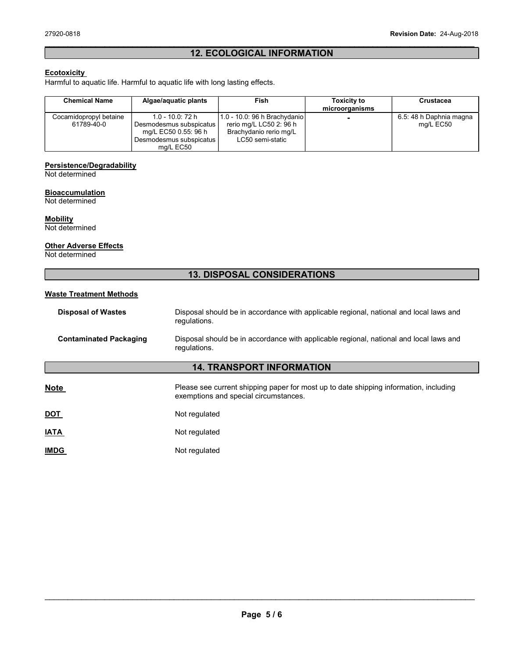# 12. ECOLOGICAL INFORMATION

## **Ecotoxicity**

Harmful to aquatic life. Harmful to aquatic life with long lasting effects.

| <b>Chemical Name</b>                 | Algae/aquatic plants                                                                                               | Fish                                                                                                  | <b>Toxicity to</b><br>microorganisms | <b>Crustacea</b>                     |
|--------------------------------------|--------------------------------------------------------------------------------------------------------------------|-------------------------------------------------------------------------------------------------------|--------------------------------------|--------------------------------------|
| Cocamidopropyl betaine<br>61789-40-0 | $1.0 - 10.0$ : 72 h<br>Desmodesmus subspicatus  <br>mg/L EC50 0.55: 96 h<br>Desmodesmus subspicatus I<br>ma/L EC50 | 1.0 - 10.0: 96 h Brachydanio<br>rerio mg/L LC50 2: 96 h<br>Brachydanio rerio mg/L<br>LC50 semi-static | $\blacksquare$                       | 6.5: 48 h Daphnia magna<br>mg/L EC50 |

## Persistence/Degradability

Not determined

# **Bioaccumulation**

Not determined

#### **Mobility** Not determined

## **Other Adverse Effects**

Not determined

# 13. DISPOSAL CONSIDERATIONS

### Waste Treatment Methods

| <b>Disposal of Wastes</b>     | Disposal should be in accordance with applicable regional, national and local laws and<br>regulations. |
|-------------------------------|--------------------------------------------------------------------------------------------------------|
| <b>Contaminated Packaging</b> | Disposal should be in accordance with applicable regional, national and local laws and<br>regulations. |

# 14. TRANSPORT INFORMATION

| <b>Note</b> | Please see current shipping paper for most up to date shipping information, including<br>exemptions and special circumstances. |
|-------------|--------------------------------------------------------------------------------------------------------------------------------|
| <u>DOT</u>  | Not regulated                                                                                                                  |
| <u>IATA</u> | Not regulated                                                                                                                  |
| <b>IMDG</b> | Not regulated                                                                                                                  |